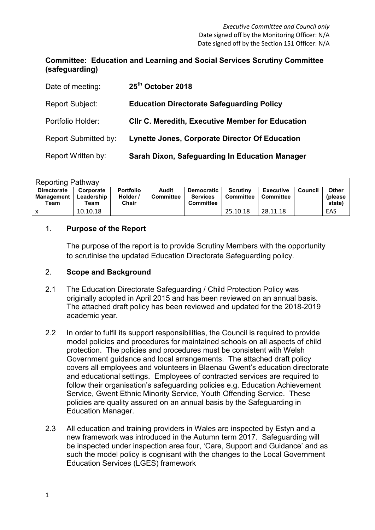# **Committee: Education and Learning and Social Services Scrutiny Committee (safeguarding)**

| Date of meeting:            | 25 <sup>th</sup> October 2018                           |
|-----------------------------|---------------------------------------------------------|
| Report Subject:             | <b>Education Directorate Safeguarding Policy</b>        |
| Portfolio Holder:           | <b>CIIr C. Meredith, Executive Member for Education</b> |
| <b>Report Submitted by:</b> | Lynette Jones, Corporate Director Of Education          |
| Report Written by:          | Sarah Dixon, Safeguarding In Education Manager          |

| <b>Reporting Pathway</b>                        |                                 |                                       |                                  |                                                          |                              |                               |         |                                   |  |  |
|-------------------------------------------------|---------------------------------|---------------------------------------|----------------------------------|----------------------------------------------------------|------------------------------|-------------------------------|---------|-----------------------------------|--|--|
| <b>Directorate</b><br><b>Management</b><br>Team | Corporate<br>Leadership<br>Team | <b>Portfolio</b><br>Holder /<br>Chair | <b>Audit</b><br><b>Committee</b> | <b>Democratic</b><br><b>Services</b><br><b>Committee</b> | <b>Scrutiny</b><br>Committee | <b>Executive</b><br>Committee | Council | <b>Other</b><br>(please<br>state) |  |  |
| х                                               | 10.10.18                        |                                       |                                  |                                                          | 25.10.18                     | 28.11.18                      |         | EAS                               |  |  |

# 1. **Purpose of the Report**

The purpose of the report is to provide Scrutiny Members with the opportunity to scrutinise the updated Education Directorate Safeguarding policy.

# 2. **Scope and Background**

- 2.1 The Education Directorate Safeguarding / Child Protection Policy was originally adopted in April 2015 and has been reviewed on an annual basis. The attached draft policy has been reviewed and updated for the 2018-2019 academic year.
- 2.2 In order to fulfil its support responsibilities, the Council is required to provide model policies and procedures for maintained schools on all aspects of child protection. The policies and procedures must be consistent with Welsh Government guidance and local arrangements. The attached draft policy covers all employees and volunteers in Blaenau Gwent's education directorate and educational settings. Employees of contracted services are required to follow their organisation's safeguarding policies e.g. Education Achievement Service, Gwent Ethnic Minority Service, Youth Offending Service. These policies are quality assured on an annual basis by the Safeguarding in Education Manager.
- 2.3 All education and training providers in Wales are inspected by Estyn and a new framework was introduced in the Autumn term 2017. Safeguarding will be inspected under inspection area four, 'Care, Support and Guidance' and as such the model policy is cognisant with the changes to the Local Government Education Services (LGES) framework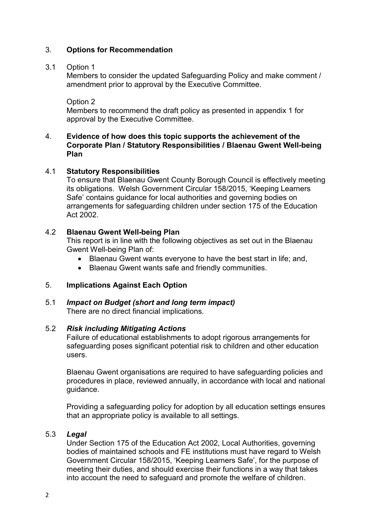# 3. **Options for Recommendation**

# 3.1 Option 1

Members to consider the updated Safeguarding Policy and make comment / amendment prior to approval by the Executive Committee.

Option 2

Members to recommend the draft policy as presented in appendix 1 for approval by the Executive Committee.

#### 4. **Evidence of how does this topic supports the achievement of the Corporate Plan / Statutory Responsibilities / Blaenau Gwent Well-being Plan**

#### 4.1 **Statutory Responsibilities**

To ensure that Blaenau Gwent County Borough Council is effectively meeting its obligations. Welsh Government Circular 158/2015, 'Keeping Learners Safe' contains guidance for local authorities and governing bodies on arrangements for safeguarding children under section 175 of the Education Act 2002.

#### 4.2 **Blaenau Gwent Well-being Plan**

This report is in line with the following objectives as set out in the Blaenau Gwent Well-being Plan of:

- Blaenau Gwent wants everyone to have the best start in life; and,
- Blaenau Gwent wants safe and friendly communities.

# 5. **Implications Against Each Option**

5.1 *Impact on Budget (short and long term impact)*  There are no direct financial implications.

# 5.2 *Risk including Mitigating Actions*

Failure of educational establishments to adopt rigorous arrangements for safeguarding poses significant potential risk to children and other education users.

Blaenau Gwent organisations are required to have safeguarding policies and procedures in place, reviewed annually, in accordance with local and national guidance.

Providing a safeguarding policy for adoption by all education settings ensures that an appropriate policy is available to all settings.

# 5.3 *Legal*

Under Section 175 of the Education Act 2002, Local Authorities, governing bodies of maintained schools and FE institutions must have regard to Welsh Government Circular 158/2015, 'Keeping Learners Safe', for the purpose of meeting their duties, and should exercise their functions in a way that takes into account the need to safeguard and promote the welfare of children.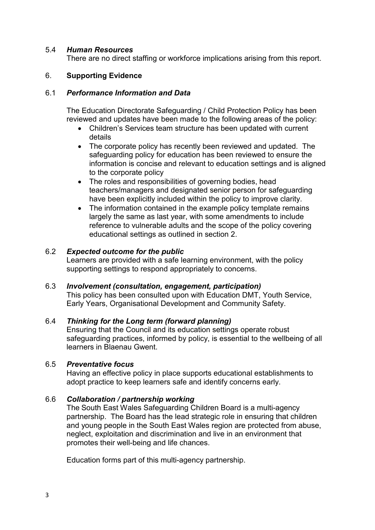# 5.4 *Human Resources*

There are no direct staffing or workforce implications arising from this report.

# 6. **Supporting Evidence**

#### 6.1 *Performance Information and Data*

The Education Directorate Safeguarding / Child Protection Policy has been reviewed and updates have been made to the following areas of the policy:

- Children's Services team structure has been updated with current details
- The corporate policy has recently been reviewed and updated. The safeguarding policy for education has been reviewed to ensure the information is concise and relevant to education settings and is aligned to the corporate policy
- The roles and responsibilities of governing bodies, head teachers/managers and designated senior person for safeguarding have been explicitly included within the policy to improve clarity.
- The information contained in the example policy template remains largely the same as last year, with some amendments to include reference to vulnerable adults and the scope of the policy covering educational settings as outlined in section 2.

# 6.2 *Expected outcome for the public*

Learners are provided with a safe learning environment, with the policy supporting settings to respond appropriately to concerns.

#### 6.3 *Involvement (consultation, engagement, participation)*

This policy has been consulted upon with Education DMT, Youth Service, Early Years, Organisational Development and Community Safety.

# 6.4 *Thinking for the Long term (forward planning)*

Ensuring that the Council and its education settings operate robust safeguarding practices, informed by policy, is essential to the wellbeing of all learners in Blaenau Gwent.

#### 6.5 *Preventative focus*

Having an effective policy in place supports educational establishments to adopt practice to keep learners safe and identify concerns early.

# 6.6 *Collaboration / partnership working*

The South East Wales Safeguarding Children Board is a multi-agency partnership. The Board has the lead strategic role in ensuring that children and young people in the South East Wales region are protected from abuse, neglect, exploitation and discrimination and live in an environment that promotes their well-being and life chances.

Education forms part of this multi-agency partnership.